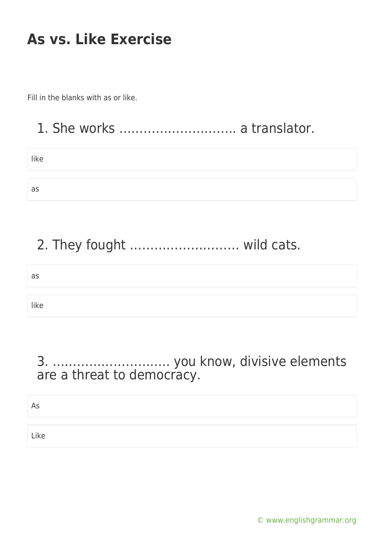Fill in the blanks with as or like.

### 1. She works ……………………….. a translator.

| like |  |  |
|------|--|--|
|      |  |  |
| as   |  |  |

### 2. They fought ……………………… wild cats.

| as   |  |
|------|--|
|      |  |
| like |  |

#### 3. ……………………….. you know, divisive elements are a threat to democracy.

As

Like

[© www.englishgrammar.org](https://www.englishgrammar.org/)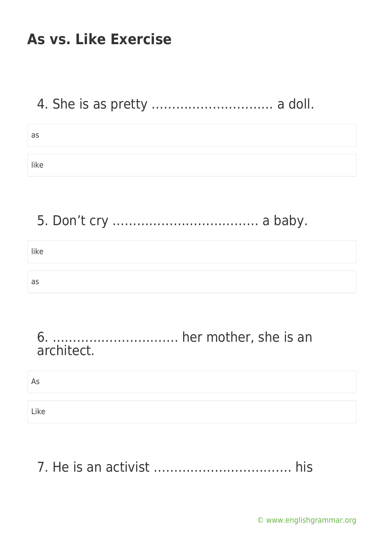#### 4. She is as pretty ………………………… a doll.

| as   |  |
|------|--|
|      |  |
| like |  |

5. Don't cry ……………………………… a baby.

| like |  |
|------|--|
|      |  |
| as   |  |

#### 6. …………………………. her mother, she is an architect.

As

Like

# 7. He is an activist ……………………………. his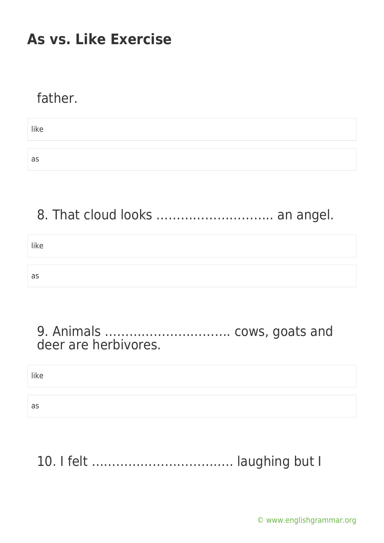#### father.

like as

### 8. That cloud looks ............................ an angel.

like as

#### 9. Animals …………………………. cows, goats and deer are herbivores.

like

as

# 10. I felt …………………………….. laughing but I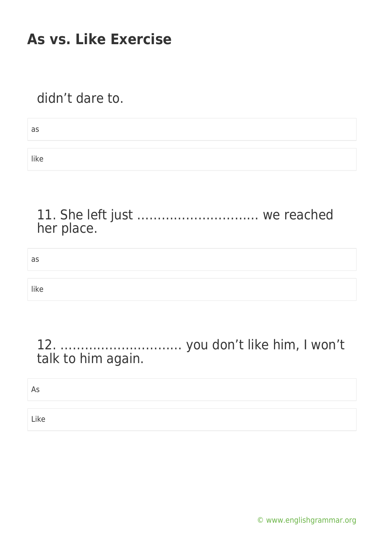#### didn't dare to.

| as   |  |
|------|--|
|      |  |
| like |  |

#### 11. She left just ………………………… we reached her place.

as

like

#### 12. ………………………… you don't like him, I won't talk to him again.

As

Like

[© www.englishgrammar.org](https://www.englishgrammar.org/)